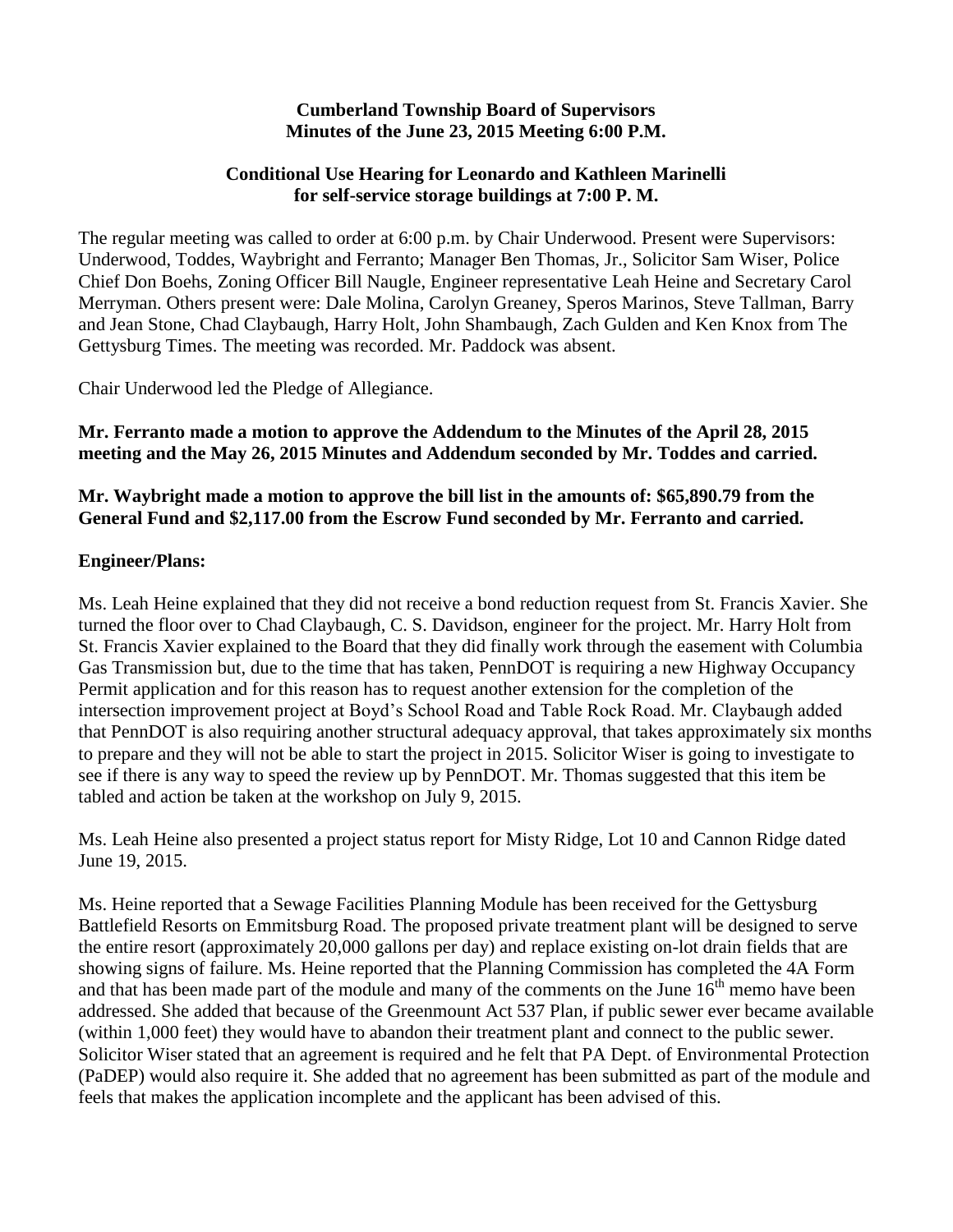#### **Cumberland Township Board of Supervisors Minutes of the June 23, 2015 Meeting 6:00 P.M.**

## **Conditional Use Hearing for Leonardo and Kathleen Marinelli for self-service storage buildings at 7:00 P. M.**

The regular meeting was called to order at 6:00 p.m. by Chair Underwood. Present were Supervisors: Underwood, Toddes, Waybright and Ferranto; Manager Ben Thomas, Jr., Solicitor Sam Wiser, Police Chief Don Boehs, Zoning Officer Bill Naugle, Engineer representative Leah Heine and Secretary Carol Merryman. Others present were: Dale Molina, Carolyn Greaney, Speros Marinos, Steve Tallman, Barry and Jean Stone, Chad Claybaugh, Harry Holt, John Shambaugh, Zach Gulden and Ken Knox from The Gettysburg Times. The meeting was recorded. Mr. Paddock was absent.

Chair Underwood led the Pledge of Allegiance.

## **Mr. Ferranto made a motion to approve the Addendum to the Minutes of the April 28, 2015 meeting and the May 26, 2015 Minutes and Addendum seconded by Mr. Toddes and carried.**

## **Mr. Waybright made a motion to approve the bill list in the amounts of: \$65,890.79 from the General Fund and \$2,117.00 from the Escrow Fund seconded by Mr. Ferranto and carried.**

## **Engineer/Plans:**

Ms. Leah Heine explained that they did not receive a bond reduction request from St. Francis Xavier. She turned the floor over to Chad Claybaugh, C. S. Davidson, engineer for the project. Mr. Harry Holt from St. Francis Xavier explained to the Board that they did finally work through the easement with Columbia Gas Transmission but, due to the time that has taken, PennDOT is requiring a new Highway Occupancy Permit application and for this reason has to request another extension for the completion of the intersection improvement project at Boyd's School Road and Table Rock Road. Mr. Claybaugh added that PennDOT is also requiring another structural adequacy approval, that takes approximately six months to prepare and they will not be able to start the project in 2015. Solicitor Wiser is going to investigate to see if there is any way to speed the review up by PennDOT. Mr. Thomas suggested that this item be tabled and action be taken at the workshop on July 9, 2015.

Ms. Leah Heine also presented a project status report for Misty Ridge, Lot 10 and Cannon Ridge dated June 19, 2015.

Ms. Heine reported that a Sewage Facilities Planning Module has been received for the Gettysburg Battlefield Resorts on Emmitsburg Road. The proposed private treatment plant will be designed to serve the entire resort (approximately 20,000 gallons per day) and replace existing on-lot drain fields that are showing signs of failure. Ms. Heine reported that the Planning Commission has completed the 4A Form and that has been made part of the module and many of the comments on the June  $16<sup>th</sup>$  memo have been addressed. She added that because of the Greenmount Act 537 Plan, if public sewer ever became available (within 1,000 feet) they would have to abandon their treatment plant and connect to the public sewer. Solicitor Wiser stated that an agreement is required and he felt that PA Dept. of Environmental Protection (PaDEP) would also require it. She added that no agreement has been submitted as part of the module and feels that makes the application incomplete and the applicant has been advised of this.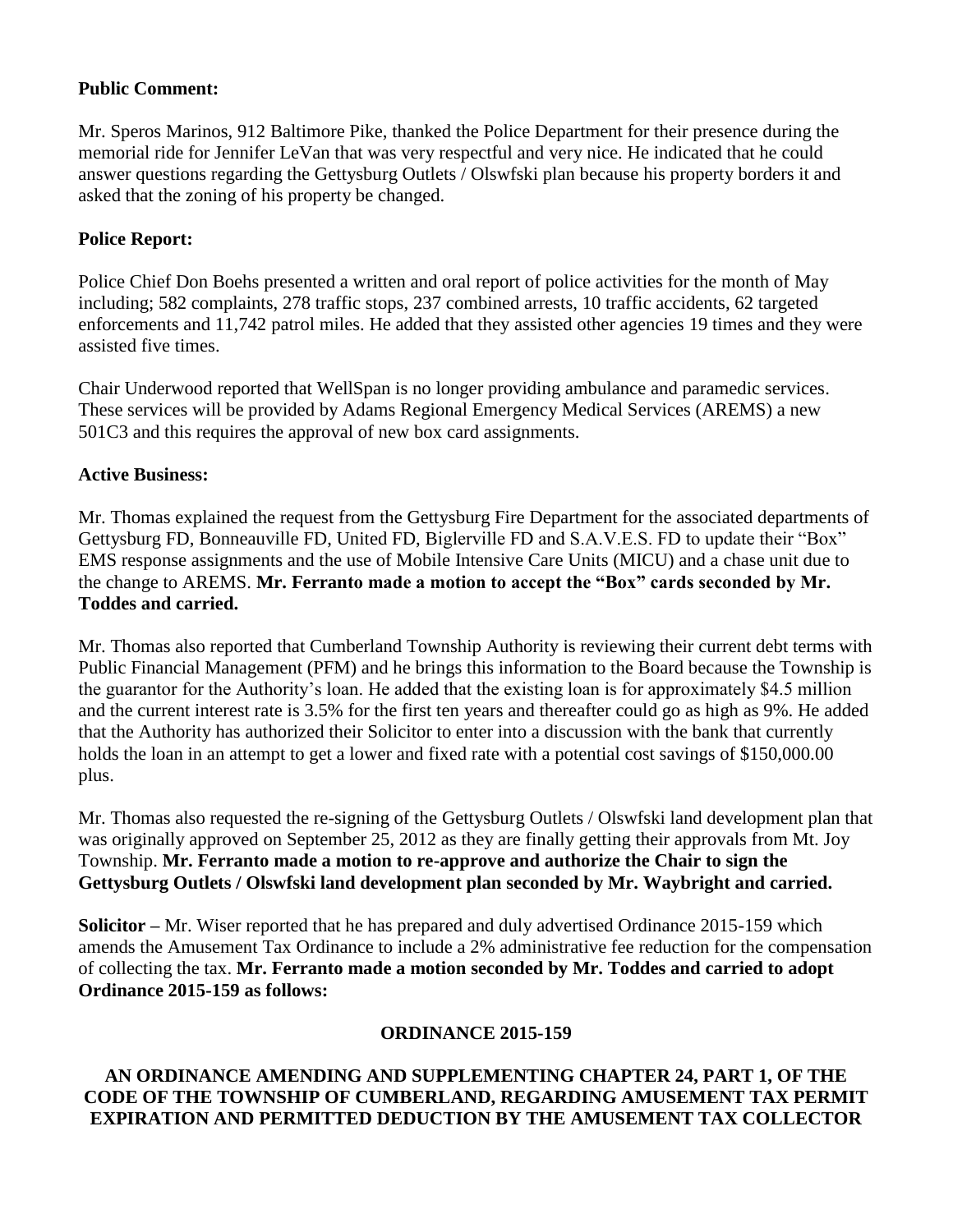### **Public Comment:**

Mr. Speros Marinos, 912 Baltimore Pike, thanked the Police Department for their presence during the memorial ride for Jennifer LeVan that was very respectful and very nice. He indicated that he could answer questions regarding the Gettysburg Outlets / Olswfski plan because his property borders it and asked that the zoning of his property be changed.

## **Police Report:**

Police Chief Don Boehs presented a written and oral report of police activities for the month of May including; 582 complaints, 278 traffic stops, 237 combined arrests, 10 traffic accidents, 62 targeted enforcements and 11,742 patrol miles. He added that they assisted other agencies 19 times and they were assisted five times.

Chair Underwood reported that WellSpan is no longer providing ambulance and paramedic services. These services will be provided by Adams Regional Emergency Medical Services (AREMS) a new 501C3 and this requires the approval of new box card assignments.

### **Active Business:**

Mr. Thomas explained the request from the Gettysburg Fire Department for the associated departments of Gettysburg FD, Bonneauville FD, United FD, Biglerville FD and S.A.V.E.S. FD to update their "Box" EMS response assignments and the use of Mobile Intensive Care Units (MICU) and a chase unit due to the change to AREMS. **Mr. Ferranto made a motion to accept the "Box" cards seconded by Mr. Toddes and carried.**

Mr. Thomas also reported that Cumberland Township Authority is reviewing their current debt terms with Public Financial Management (PFM) and he brings this information to the Board because the Township is the guarantor for the Authority's loan. He added that the existing loan is for approximately \$4.5 million and the current interest rate is 3.5% for the first ten years and thereafter could go as high as 9%. He added that the Authority has authorized their Solicitor to enter into a discussion with the bank that currently holds the loan in an attempt to get a lower and fixed rate with a potential cost savings of \$150,000.00 plus.

Mr. Thomas also requested the re-signing of the Gettysburg Outlets / Olswfski land development plan that was originally approved on September 25, 2012 as they are finally getting their approvals from Mt. Joy Township. **Mr. Ferranto made a motion to re-approve and authorize the Chair to sign the Gettysburg Outlets / Olswfski land development plan seconded by Mr. Waybright and carried.**

**Solicitor –** Mr. Wiser reported that he has prepared and duly advertised Ordinance 2015-159 which amends the Amusement Tax Ordinance to include a 2% administrative fee reduction for the compensation of collecting the tax. **Mr. Ferranto made a motion seconded by Mr. Toddes and carried to adopt Ordinance 2015-159 as follows:**

## **ORDINANCE 2015-159**

## **AN ORDINANCE AMENDING AND SUPPLEMENTING CHAPTER 24, PART 1, OF THE CODE OF THE TOWNSHIP OF CUMBERLAND, REGARDING AMUSEMENT TAX PERMIT EXPIRATION AND PERMITTED DEDUCTION BY THE AMUSEMENT TAX COLLECTOR**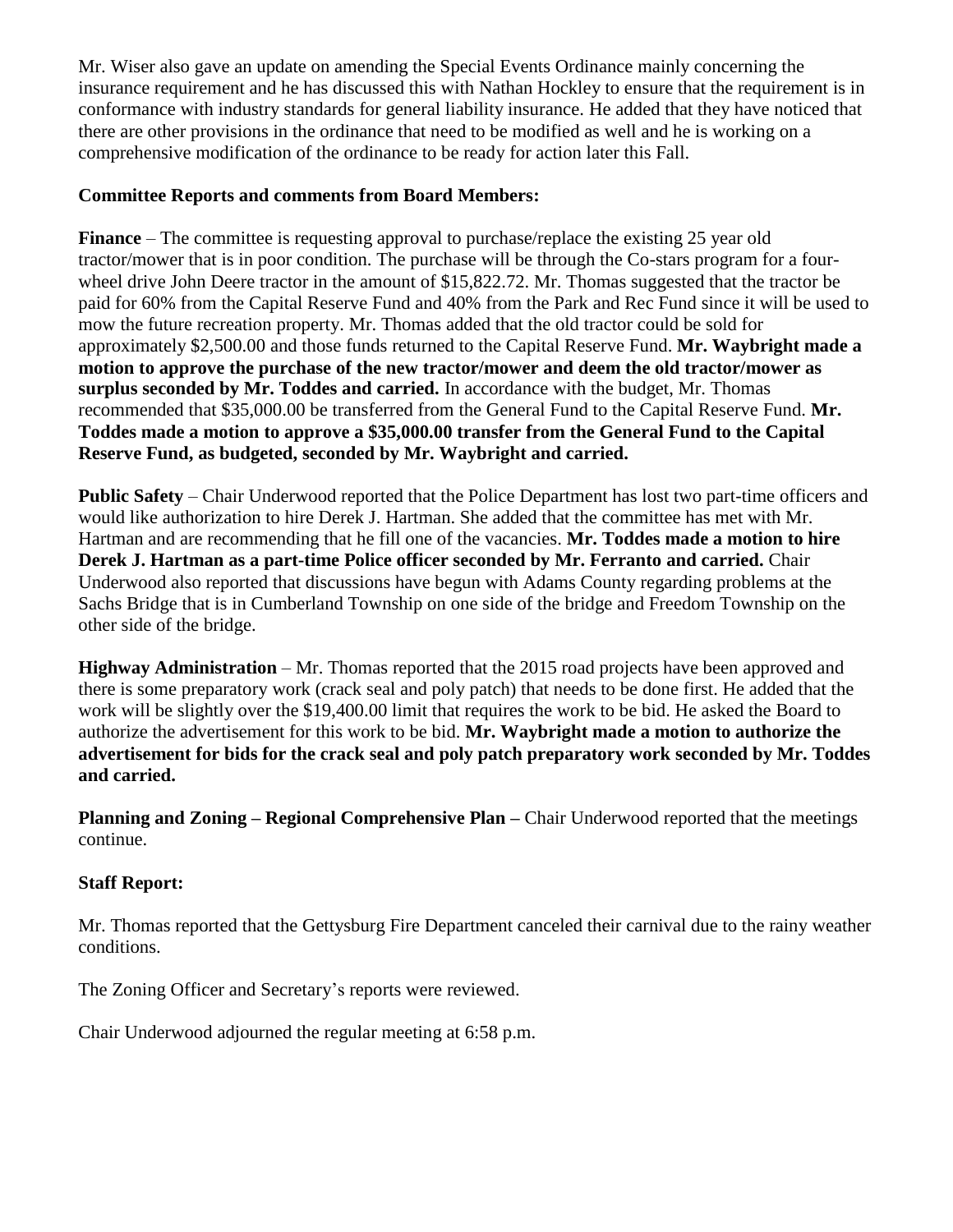Mr. Wiser also gave an update on amending the Special Events Ordinance mainly concerning the insurance requirement and he has discussed this with Nathan Hockley to ensure that the requirement is in conformance with industry standards for general liability insurance. He added that they have noticed that there are other provisions in the ordinance that need to be modified as well and he is working on a comprehensive modification of the ordinance to be ready for action later this Fall.

# **Committee Reports and comments from Board Members:**

**Finance** – The committee is requesting approval to purchase/replace the existing 25 year old tractor/mower that is in poor condition. The purchase will be through the Co-stars program for a fourwheel drive John Deere tractor in the amount of \$15,822.72. Mr. Thomas suggested that the tractor be paid for 60% from the Capital Reserve Fund and 40% from the Park and Rec Fund since it will be used to mow the future recreation property. Mr. Thomas added that the old tractor could be sold for approximately \$2,500.00 and those funds returned to the Capital Reserve Fund. **Mr. Waybright made a motion to approve the purchase of the new tractor/mower and deem the old tractor/mower as surplus seconded by Mr. Toddes and carried.** In accordance with the budget, Mr. Thomas recommended that \$35,000.00 be transferred from the General Fund to the Capital Reserve Fund. **Mr. Toddes made a motion to approve a \$35,000.00 transfer from the General Fund to the Capital Reserve Fund, as budgeted, seconded by Mr. Waybright and carried.**

**Public Safety** – Chair Underwood reported that the Police Department has lost two part-time officers and would like authorization to hire Derek J. Hartman. She added that the committee has met with Mr. Hartman and are recommending that he fill one of the vacancies. **Mr. Toddes made a motion to hire Derek J. Hartman as a part-time Police officer seconded by Mr. Ferranto and carried.** Chair Underwood also reported that discussions have begun with Adams County regarding problems at the Sachs Bridge that is in Cumberland Township on one side of the bridge and Freedom Township on the other side of the bridge.

**Highway Administration** – Mr. Thomas reported that the 2015 road projects have been approved and there is some preparatory work (crack seal and poly patch) that needs to be done first. He added that the work will be slightly over the \$19,400.00 limit that requires the work to be bid. He asked the Board to authorize the advertisement for this work to be bid. **Mr. Waybright made a motion to authorize the advertisement for bids for the crack seal and poly patch preparatory work seconded by Mr. Toddes and carried.**

**Planning and Zoning – Regional Comprehensive Plan –** Chair Underwood reported that the meetings continue.

# **Staff Report:**

Mr. Thomas reported that the Gettysburg Fire Department canceled their carnival due to the rainy weather conditions.

The Zoning Officer and Secretary's reports were reviewed.

Chair Underwood adjourned the regular meeting at 6:58 p.m.